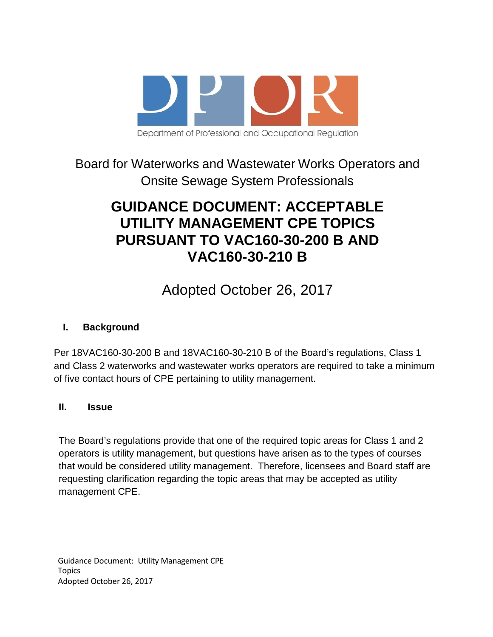

## Board for Waterworks and Wastewater Works Operators and Onsite Sewage System Professionals

# **GUIDANCE DOCUMENT: ACCEPTABLE UTILITY MANAGEMENT CPE TOPICS PURSUANT TO VAC160-30-200 B AND VAC160-30-210 B**

# Adopted October 26, 2017

## **I. Background**

Per 18VAC160-30-200 B and 18VAC160-30-210 B of the Board's regulations, Class 1 and Class 2 waterworks and wastewater works operators are required to take a minimum of five contact hours of CPE pertaining to utility management.

### **II. Issue**

The Board's regulations provide that one of the required topic areas for Class 1 and 2 operators is utility management, but questions have arisen as to the types of courses that would be considered utility management. Therefore, licensees and Board staff are requesting clarification regarding the topic areas that may be accepted as utility management CPE.

Guidance Document: Utility Management CPE Topics Adopted October 26, 2017